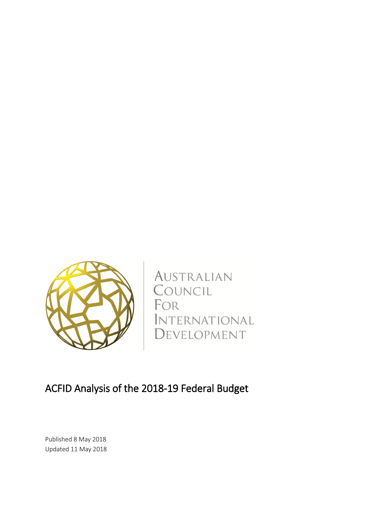

AUSTRALIAN COUNCIL FOR INTERNATIONAL DEVELOPMENT

# ACFID Analysis of the 2018-19 Federal Budget

Published 8 May 2018 Updated 11 May 2018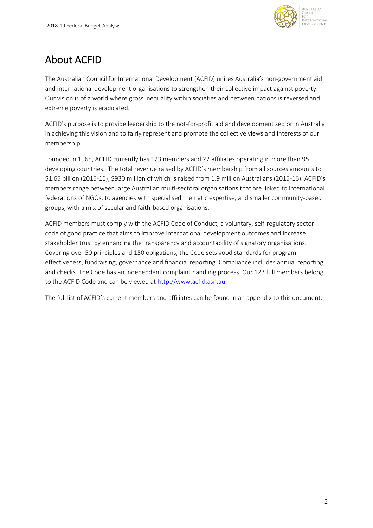

# About ACFID

The Australian Council for International Development (ACFID) unites Australia's non-government aid and international development organisations to strengthen their collective impact against poverty. Our vision is of a world where gross inequality within societies and between nations is reversed and extreme poverty is eradicated.

ACFID's purpose is to provide leadership to the not-for-profit aid and development sector in Australia in achieving this vision and to fairly represent and promote the collective views and interests of our membership.

Founded in 1965, ACFID currently has 123 members and 22 affiliates operating in more than 95 developing countries. The total revenue raised by ACFID's membership from all sources amounts to \$1.65 billion (2015-16), \$930 million of which is raised from 1.9 million Australians (2015-16). ACFID's members range between large Australian multi-sectoral organisations that are linked to international federations of NGOs, to agencies with specialised thematic expertise, and smaller community-based groups, with a mix of secular and faith-based organisations.

ACFID members must comply with the ACFID Code of Conduct, a voluntary, self-regulatory sector code of good practice that aims to improve international development outcomes and increase stakeholder trust by enhancing the transparency and accountability of signatory organisations. Covering over 50 principles and 150 obligations, the Code sets good standards for program effectiveness, fundraising, governance and financial reporting. Compliance includes annual reporting and checks. The Code has an independent complaint handling process. Our 123 full members belong to the ACFID Code and can be viewed at [http://www.acfid.asn.au](http://www.acfid.asn.au/)

The full list of ACFID's current members and affiliates can be found in an appendix to this document.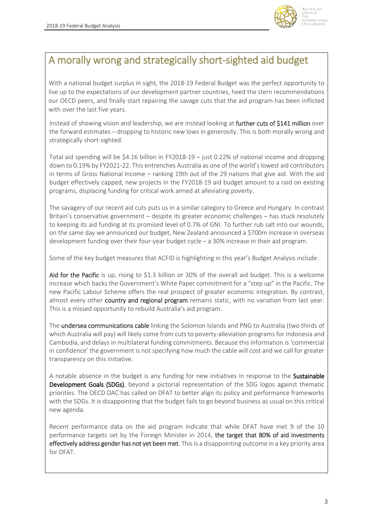

**TINCIL** ED NIATIONIAL

# A morally wrong and strategically short-sighted aid budget

With a national budget surplus in sight, the 2018-19 Federal Budget was the perfect opportunity to live up to the expectations of our development partner countries, heed the stern recommendations our OECD peers, and finally start repairing the savage cuts that the aid program has been inflicted with over the last five years.

Instead of showing vision and leadership, we are instead looking at further cuts of \$141 million over the forward estimates – dropping to historic new lows in generosity. This is both morally wrong and strategically short-sighted.

Total aid spending will be \$4.16 billion in FY2018-19 – just 0.22% of national income and dropping down to 0.19% by FY2021-22. This entrenches Australia as one of the world'slowest aid contributors in terms of Gross National Income – ranking 19th out of the 29 nations that give aid. With the aid budget effectively capped, new projects in the FY2018-19 aid budget amount to a raid on existing programs, displacing funding for critical work aimed at alleviating poverty.

The savagery of our recent aid cuts puts us in a similar category to Greece and Hungary. In contrast Britain's conservative government – despite its greater economic challenges – has stuck resolutely to keeping its aid funding at its promised level of 0.7% of GNI. To further rub salt into our wounds, on the same day we announced our budget, New Zealand announced a \$700m increase in overseas development funding over their four-year budget cycle – a 30% increase in their aid program.

Some of the key budget measures that ACFID is highlighting in this year's Budget Analysis include:

Aid for the Pacific is up, rising to \$1.3 billion or 30% of the overall aid budget. This is a welcome increase which backs the Government's White Paper commitment for a "step up" in the Pacific. The new Pacific Labour Scheme offers the real prospect of greater economic integration. By contrast, almost every other country and regional program remains static, with no variation from last year. This is a missed opportunity to rebuild Australia's aid program.

The undersea communications cable linking the Solomon Islands and PNG to Australia (two thirds of which Australia will pay) will likely come from cuts to poverty-alleviation programs for Indonesia and Cambodia, and delays in multilateral funding commitments. Because this information is 'commercial in confidence' the government is not specifying how much the cable will cost and we call for greater transparency on this initiative.

A notable absence in the budget is any funding for new initiatives in response to the **Sustainable** Development Goals (SDGs), beyond a pictorial representation of the SDG logos against thematic priorities. The OECD DAC has called on DFAT to better align its policy and performance frameworks with the SDGs. It is disappointing that the budget fails to go beyond business as usual on this critical new agenda.

Recent performance data on the aid program indicate that while DFAT have met 9 of the 10 performance targets set by the Foreign Minister in 2014, the target that 80% of aid investments effectively address gender has not yet been met. This is a disappointing outcome in a key priority area for DFAT.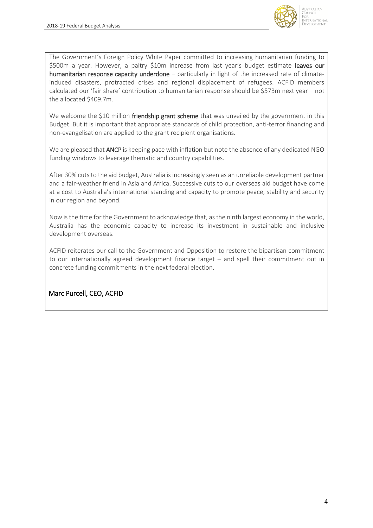

The Government's Foreign Policy White Paper committed to increasing humanitarian funding to \$500m a year. However, a paltry \$10m increase from last year's budget estimate leaves our humanitarian response capacity underdone – particularly in light of the increased rate of climateinduced disasters, protracted crises and regional displacement of refugees. ACFID members calculated our 'fair share' contribution to humanitarian response should be \$573m next year – not the allocated \$409.7m.

We welcome the \$10 million friendship grant scheme that was unveiled by the government in this Budget. But it is important that appropriate standards of child protection, anti-terror financing and non-evangelisation are applied to the grant recipient organisations.

We are pleased that **ANCP** is keeping pace with inflation but note the absence of any dedicated NGO funding windows to leverage thematic and country capabilities.

After 30% cuts to the aid budget, Australia is increasingly seen as an unreliable development partner and a fair-weather friend in Asia and Africa. Successive cuts to our overseas aid budget have come at a cost to Australia's international standing and capacity to promote peace, stability and security in our region and beyond.

Now is the time for the Government to acknowledge that, as the ninth largest economy in the world, Australia has the economic capacity to increase its investment in sustainable and inclusive development overseas.

ACFID reiterates our call to the Government and Opposition to restore the bipartisan commitment to our internationally agreed development finance target – and spell their commitment out in concrete funding commitments in the next federal election.

Marc Purcell, CEO, ACFID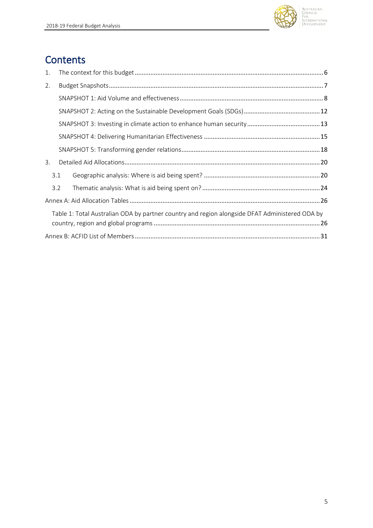

## **Contents**

| 1. |     |                                                                                                |  |
|----|-----|------------------------------------------------------------------------------------------------|--|
| 2. |     |                                                                                                |  |
|    |     |                                                                                                |  |
|    |     |                                                                                                |  |
|    |     |                                                                                                |  |
|    |     |                                                                                                |  |
|    |     |                                                                                                |  |
| 3. |     |                                                                                                |  |
|    | 3.1 |                                                                                                |  |
|    | 3.2 |                                                                                                |  |
|    |     |                                                                                                |  |
|    |     | Table 1: Total Australian ODA by partner country and region alongside DFAT Administered ODA by |  |
|    |     |                                                                                                |  |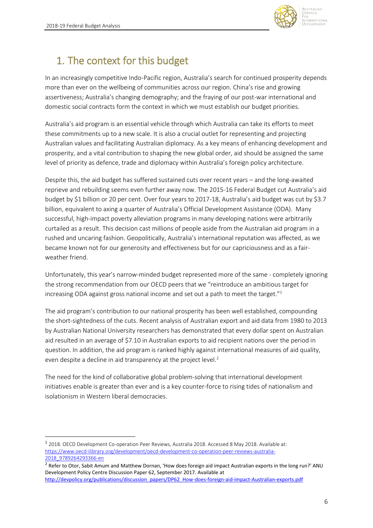1



# <span id="page-5-0"></span>1. The context for this budget

In an increasingly competitive Indo-Pacific region, Australia's search for continued prosperity depends more than ever on the wellbeing of communities across our region. China's rise and growing assertiveness; Australia's changing demography; and the fraying of our post-war international and domestic social contracts form the context in which we must establish our budget priorities.

Australia's aid program is an essential vehicle through which Australia can take its efforts to meet these commitments up to a new scale. It is also a crucial outlet for representing and projecting Australian values and facilitating Australian diplomacy. As a key means of enhancing development and prosperity, and a vital contribution to shaping the new global order, aid should be assigned the same level of priority as defence, trade and diplomacy within Australia's foreign policy architecture.

Despite this, the aid budget has suffered sustained cuts over recent years – and the long-awaited reprieve and rebuilding seems even further away now. The 2015-16 Federal Budget cut Australia's aid budget by \$1 billion or 20 per cent. Over four years to 2017-18, Australia's aid budget was cut by \$3.7 billion, equivalent to axing a quarter of Australia's Official Development Assistance (ODA). Many successful, high-impact poverty alleviation programs in many developing nations were arbitrarily curtailed as a result. This decision cast millions of people aside from the Australian aid program in a rushed and uncaring fashion. Geopolitically, Australia's international reputation was affected, as we became known not for our generosity and effectiveness but for our capriciousness and as a fairweather friend.

Unfortunately, this year's narrow-minded budget represented more of the same - completely ignoring the strong recommendation from our OECD peers that we "reintroduce an ambitious target for increasing ODA against gross national income and set out a path to meet the target."<sup>1</sup>

The aid program's contribution to our national prosperity has been well established, compounding the short-sightedness of the cuts. Recent analysis of Australian export and aid data from 1980 to 2013 by Australian National University researchers has demonstrated that every dollar spent on Australian aid resulted in an average of \$7.10 in Australian exports to aid recipient nations over the period in question. In addition, the aid program is ranked highly against international measures of aid quality, even despite a decline in aid transparency at the project level.<sup>2</sup>

The need for the kind of collaborative global problem-solving that international development initiatives enable is greater than ever and is a key counter-force to rising tides of nationalism and isolationism in Western liberal democracies.

<sup>&</sup>lt;sup>1</sup> 2018. OECD Development Co-operation Peer Reviews, Australia 2018. Accessed 8 May 2018. Available at: [https://www.oecd-ilibrary.org/development/oecd-development-co-operation-peer-reviews-australia-](https://www.oecd-ilibrary.org/development/oecd-development-co-operation-peer-reviews-australia-2018_9789264293366-en)[2018\\_9789264293366-en](https://www.oecd-ilibrary.org/development/oecd-development-co-operation-peer-reviews-australia-2018_9789264293366-en)

<sup>&</sup>lt;sup>2</sup> Refer to Otor, Sabit Amum and Matthew Dornan, 'How does foreign aid impact Australian exports in the long run?' ANU Development Policy Centre Discussion Paper 62, September 2017. Available at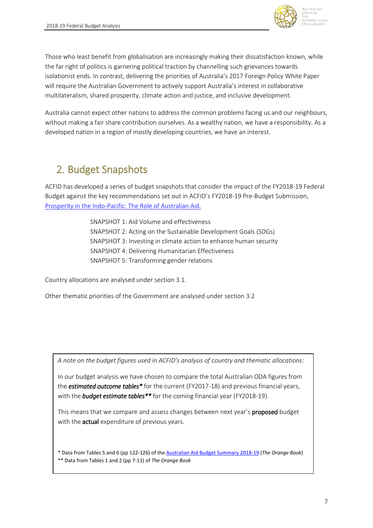

**DAIATIONAL** 

Those who least benefit from globalisation are increasingly making their dissatisfaction known, while the far right of politics is garnering political traction by channelling such grievances towards isolationist ends. In contrast, delivering the priorities of Australia's 2017 Foreign Policy White Paper will require the Australian Government to actively support Australia's interest in collaborative multilateralism, shared prosperity, climate action and justice, and inclusive development.

Australia cannot expect other nations to address the common problems facing us and our neighbours, without making a fair share contribution ourselves. As a wealthy nation, we have a responsibility. As a developed nation in a region of mostly developing countries, we have an interest.

## <span id="page-6-0"></span>2. Budget Snapshots

ACFID has developed a series of budget snapshots that consider the impact of the FY2018-19 Federal Budget against the key recommendations set out in ACFID's FY2018-19 Pre-Budget Submission, [Prosperity in the Indo-Pacific: The Role of Australian Aid.](https://acfid.asn.au/sites/site.acfid/files/ACFID%20Budget%20Submission%202018-19.pdf)

> SNAPSHOT 1: Aid Volume and effectiveness SNAPSHOT 2: Acting on the Sustainable Development Goals (SDGs) SNAPSHOT 3: Investing in climate action to enhance human security SNAPSHOT 4: Delivering Humanitarian Effectiveness SNAPSHOT 5: Transforming gender relations

Country allocations are analysed under section 3.1.

Other thematic priorities of the Government are analysed under section 3.2

*A note on the budget figures used in ACFID's analysis of country and thematic allocations:*

In our budget analysis we have chosen to compare the total Australian ODA figures from the *estimated outcome tables\** for the current (FY2017-18) and previous financial years, with the *budget estimate tables\*\** for the coming financial year (FY2018-19).

This means that we compare and assess changes between next year's proposed budget with the **actual** expenditure of previous years.

\* Data from Tables 5 and 6 (pp 122-126) of the [Australian Aid Budget Summary 2018-19](http://dfat.gov.au/news/news/Pages/2017-18-australian-aid-budget-summary.aspx) (*The Orange Book*) \*\* Data from Tables 1 and 2 (pp 7-11) of *The Orange Book*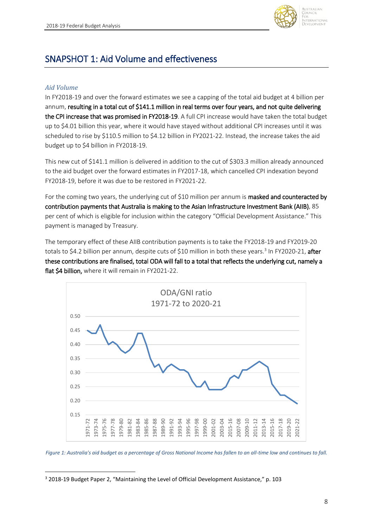

## <span id="page-7-0"></span>SNAPSHOT 1: Aid Volume and effectiveness

#### *Aid Volume*

**.** 

In FY2018-19 and over the forward estimates we see a capping of the total aid budget at 4 billion per annum, resulting in a total cut of \$141.1 million in real terms over four years, and not quite delivering the CPI increase that was promised in FY2018-19. A full CPI increase would have taken the total budget up to \$4.01 billion this year, where it would have stayed without additional CPI increases until it was scheduled to rise by \$110.5 million to \$4.12 billion in FY2021-22. Instead, the increase takes the aid budget up to \$4 billion in FY2018-19.

This new cut of \$141.1 million is delivered in addition to the cut of \$303.3 million already announced to the aid budget over the forward estimates in FY2017-18, which cancelled CPI indexation beyond FY2018-19, before it was due to be restored in FY2021-22.

For the coming two years, the underlying cut of \$10 million per annum is **masked and counteracted by** contribution payments that Australia is making to the Asian Infrastructure Investment Bank (AIIB), 85 per cent of which is eligible for inclusion within the category "Official Development Assistance." This payment is managed by Treasury.

The temporary effect of these AIIB contribution payments is to take the FY2018-19 and FY2019-20 totals to \$4.2 billion per annum, despite cuts of \$10 million in both these years.<sup>3</sup> In FY2020-21, after these contributions are finalised, total ODA will fall to a total that reflects the underlying cut, namely a flat \$4 billion, where it will remain in FY2021-22.



*Figure 1: Australia's aid budget as a percentage of Gross National Income has fallen to an all-time low and continues to fall.*

<sup>3</sup> 2018-19 Budget Paper 2, "Maintaining the Level of Official Development Assistance," p. 103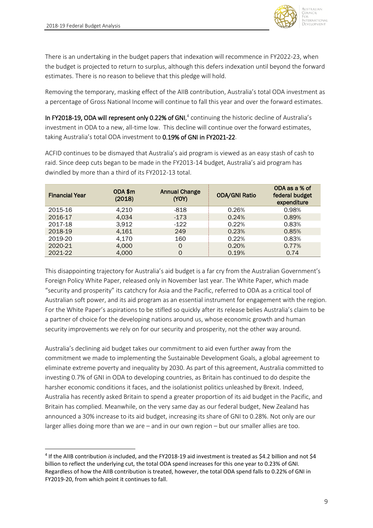$\overline{\phantom{a}}$ 



There is an undertaking in the budget papers that indexation will recommence in FY2022-23, when the budget is projected to return to surplus, although this defers indexation until beyond the forward estimates. There is no reason to believe that this pledge will hold.

Removing the temporary, masking effect of the AIIB contribution, Australia's total ODA investment as a percentage of Gross National Income will continue to fall this year and over the forward estimates.

In FY2018-19, ODA will represent only 0.22% of GNI,<sup>4</sup> continuing the historic decline of Australia's investment in ODA to a new, all-time low. This decline will continue over the forward estimates, taking Australia's total ODA investment to 0.19% of GNI in FY2021-22.

ACFID continues to be dismayed that Australia's aid program is viewed as an easy stash of cash to raid. Since deep cuts began to be made in the FY2013-14 budget, Australia's aid program has dwindled by more than a third of its FY2012-13 total.

| <b>Financial Year</b> | ODA \$m<br>(2018) | <b>Annual Change</b><br>(YOY) | <b>ODA/GNI Ratio</b> | ODA as a % of<br>federal budget<br>expenditure |
|-----------------------|-------------------|-------------------------------|----------------------|------------------------------------------------|
| 2015-16               | 4.210             | -818                          | 0.26%                | 0.98%                                          |
| 2016-17               | 4.034             | $-173$                        | 0.24%                | 0.89%                                          |
| 2017-18               | 3,912             | $-122$                        | 0.22%                | 0.83%                                          |
| 2018-19               | 4,161             | 249                           | 0.23%                | 0.85%                                          |
| 2019-20               | 4,170             | 160                           | 0.22%                | 0.83%                                          |
| 2020-21               | 4,000             | $\Omega$                      | 0.20%                | 0.77%                                          |
| 2021-22               | 4.000             | 0                             | 0.19%                | 0.74                                           |

This disappointing trajectory for Australia's aid budget is a far cry from the Australian Government's Foreign Policy White Paper, released only in November last year. The White Paper, which made "security and prosperity" its catchcry for Asia and the Pacific, referred to ODA as a critical tool of Australian soft power, and its aid program as an essential instrument for engagement with the region. For the White Paper's aspirations to be stifled so quickly after its release belies Australia's claim to be a partner of choice for the developing nations around us, whose economic growth and human security improvements we rely on for our security and prosperity, not the other way around.

Australia's declining aid budget takes our commitment to aid even further away from the commitment we made to implementing the Sustainable Development Goals, a global agreement to eliminate extreme poverty and inequality by 2030. As part of this agreement, Australia committed to investing 0.7% of GNI in ODA to developing countries, as Britain has continued to do despite the harsher economic conditions it faces, and the isolationist politics unleashed by Brexit. Indeed, Australia has recently asked Britain to spend a greater proportion of its aid budget in the Pacific, and Britain has complied. Meanwhile, on the very same day as our federal budget, New Zealand has announced a 30% increase to its aid budget, increasing its share of GNI to 0.28%. Not only are our larger allies doing more than we are – and in our own region – but our smaller allies are too.

<sup>4</sup> If the AIIB contribution *is* included, and the FY2018-19 aid investment is treated as \$4.2 billion and not \$4 billion to reflect the underlying cut, the total ODA spend increases for this one year to 0.23% of GNI. Regardless of how the AIIB contribution is treated, however, the total ODA spend falls to 0.22% of GNI in FY2019-20, from which point it continues to fall.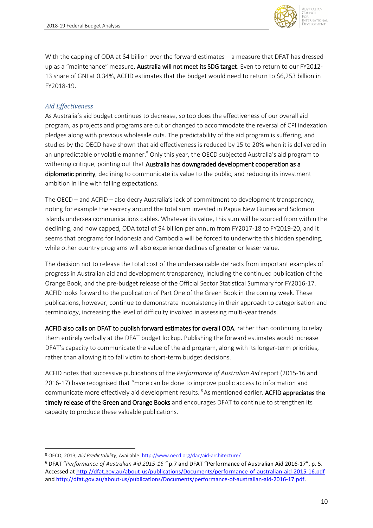

With the capping of ODA at \$4 billion over the forward estimates – a measure that DFAT has dressed up as a "maintenance" measure, **Australia will not meet its SDG target**. Even to return to our FY2012-13 share of GNI at 0.34%, ACFID estimates that the budget would need to return to \$6,253 billion in FY2018-19.

#### *Aid Effectiveness*

1

As Australia's aid budget continues to decrease, so too does the effectiveness of our overall aid program, as projects and programs are cut or changed to accommodate the reversal of CPI indexation pledges along with previous wholesale cuts. The predictability of the aid program is suffering, and studies by the OECD have shown that aid effectiveness is reduced by 15 to 20% when it is delivered in an unpredictable or volatile manner.<sup>5</sup> Only this year, the OECD subjected Australia's aid program to withering critique, pointing out that Australia has downgraded development cooperation as a diplomatic priority, declining to communicate its value to the public, and reducing its investment ambition in line with falling expectations.

The OECD – and ACFID – also decry Australia's lack of commitment to development transparency, noting for example the secrecy around the total sum invested in Papua New Guinea and Solomon Islands undersea communications cables. Whatever its value, this sum will be sourced from within the declining, and now capped, ODA total of \$4 billion per annum from FY2017-18 to FY2019-20, and it seems that programs for Indonesia and Cambodia will be forced to underwrite this hidden spending, while other country programs will also experience declines of greater or lesser value.

The decision not to release the total cost of the undersea cable detracts from important examples of progress in Australian aid and development transparency, including the continued publication of the Orange Book, and the pre-budget release of the Official Sector Statistical Summary for FY2016-17. ACFID looks forward to the publication of Part One of the Green Book in the coming week. These publications, however, continue to demonstrate inconsistency in their approach to categorisation and terminology, increasing the level of difficulty involved in assessing multi-year trends.

ACFID also calls on DFAT to publish forward estimates for overall ODA, rather than continuing to relay them entirely verbally at the DFAT budget lockup. Publishing the forward estimates would increase DFAT's capacity to communicate the value of the aid program, along with its longer-term priorities, rather than allowing it to fall victim to short-term budget decisions.

ACFID notes that successive publications of the *Performance of Australian Aid* report (2015-16 and 2016-17) have recognised that "more can be done to improve public access to information and communicate more effectively aid development results.<sup>6</sup> As mentioned earlier, **ACFID appreciates the** timely release of the Green and Orange Books and encourages DFAT to continue to strengthen its capacity to produce these valuable publications.

<sup>5</sup> OECD, 2013, *Aid Predictability*, Available[: http://www.oecd.org/dac/aid-architecture/](http://www.oecd.org/dac/aid-architecture/)

<sup>6</sup> DFAT "*Performance of Australian Aid 2015-16 "* p.7 and DFAT "Performance of Australian Aid 2016-17", p. 5. Accessed at<http://dfat.gov.au/about-us/publications/Documents/performance-of-australian-aid-2015-16.pdf> and http://dfat.gov.au/about-us/publications/Documents/performance-of-australian-aid-2016-17.pdf.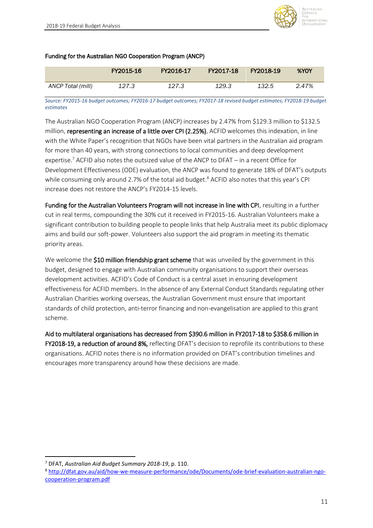

#### Funding for the Australian NGO Cooperation Program (ANCP)

|                   | FY2015-16 | FY2016-17 | FY2017-18 | FY2018-19 | %YOY  |
|-------------------|-----------|-----------|-----------|-----------|-------|
| ANCP Total (mill) | 127.3     | 127.3     | 129.3     | 132.5     | 2.47% |

*Source: FY2015-16 budget outcomes; FY2016-17 budget outcomes; FY2017-18 revised budget estimates; FY2018-19 budget estimates*

The Australian NGO Cooperation Program (ANCP) increases by 2.47% from \$129.3 million to \$132.5 million, representing an increase of a little over CPI (2.25%). ACFID welcomes this indexation, in line with the White Paper's recognition that NGOs have been vital partners in the Australian aid program for more than 40 years, with strong connections to local communities and deep development expertise.<sup>7</sup> ACFID also notes the outsized value of the ANCP to DFAT – in a recent Office for Development Effectiveness (ODE) evaluation, the ANCP was found to generate 18% of DFAT's outputs while consuming only around 2.7% of the total aid budget. <sup>8</sup> ACFID also notes that this year's CPI increase does not restore the ANCP's FY2014-15 levels.

Funding for the Australian Volunteers Program will not increase in line with CPI, resulting in a further cut in real terms, compounding the 30% cut it received in FY2015-16. Australian Volunteers make a significant contribution to building people to people links that help Australia meet its public diplomacy aims and build our soft-power. Volunteers also support the aid program in meeting its thematic priority areas.

We welcome the \$10 million friendship grant scheme that was unveiled by the government in this budget, designed to engage with Australian community organisations to support their overseas development activities. ACFID's Code of Conduct is a central asset in ensuring development effectiveness for ACFID members. In the absence of any External Conduct Standards regulating other Australian Charities working overseas, the Australian Government must ensure that important standards of child protection, anti-terror financing and non-evangelisation are applied to this grant scheme.

Aid to multilateral organisations has decreased from \$390.6 million in FY2017-18 to \$358.6 million in FY2018-19, a reduction of around 8%, reflecting DFAT's decision to reprofile its contributions to these organisations. ACFID notes there is no information provided on DFAT's contribution timelines and encourages more transparency around how these decisions are made.

**.** 

<sup>7</sup> DFAT, *Australian Aid Budget Summary 2018-19*, p. 110.

<sup>8</sup> [http://dfat.gov.au/aid/how-we-measure-performance/ode/Documents/ode-brief-evaluation-australian-ngo](http://dfat.gov.au/aid/how-we-measure-performance/ode/Documents/ode-brief-evaluation-australian-ngo-cooperation-program.pdf)[cooperation-program.pdf](http://dfat.gov.au/aid/how-we-measure-performance/ode/Documents/ode-brief-evaluation-australian-ngo-cooperation-program.pdf)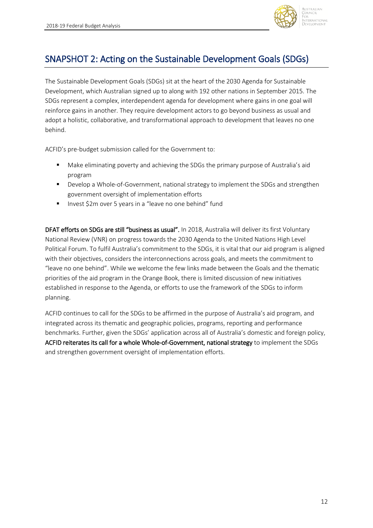

## <span id="page-11-0"></span>SNAPSHOT 2: Acting on the Sustainable Development Goals (SDGs)

The Sustainable Development Goals (SDGs) sit at the heart of the 2030 Agenda for Sustainable Development, which Australian signed up to along with 192 other nations in September 2015. The SDGs represent a complex, interdependent agenda for development where gains in one goal will reinforce gains in another. They require development actors to go beyond business as usual and adopt a holistic, collaborative, and transformational approach to development that leaves no one behind.

ACFID's pre-budget submission called for the Government to:

- Make eliminating poverty and achieving the SDGs the primary purpose of Australia's aid program
- Develop a Whole-of-Government, national strategy to implement the SDGs and strengthen government oversight of implementation efforts
- Invest \$2m over 5 years in a "leave no one behind" fund

DFAT efforts on SDGs are still "business as usual". In 2018, Australia will deliver its first Voluntary National Review (VNR) on progress towards the 2030 Agenda to the United Nations High Level Political Forum. To fulfil Australia's commitment to the SDGs, it is vital that our aid program is aligned with their objectives, considers the interconnections across goals, and meets the commitment to "leave no one behind". While we welcome the few links made between the Goals and the thematic priorities of the aid program in the Orange Book, there is limited discussion of new initiatives established in response to the Agenda, or efforts to use the framework of the SDGs to inform planning.

ACFID continues to call for the SDGs to be affirmed in the purpose of Australia's aid program, and integrated across its thematic and geographic policies, programs, reporting and performance benchmarks. Further, given the SDGs' application across all of Australia's domestic and foreign policy, ACFID reiterates its call for a whole Whole-of-Government, national strategy to implement the SDGs and strengthen government oversight of implementation efforts.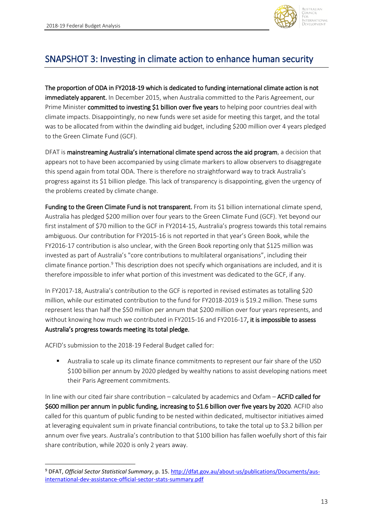

## <span id="page-12-0"></span>SNAPSHOT 3: Investing in climate action to enhance human security

The proportion of ODA in FY2018-19 which is dedicated to funding international climate action is not immediately apparent. In December 2015, when Australia committed to the Paris Agreement, our Prime Minister committed to investing \$1 billion over five years to helping poor countries deal with climate impacts. Disappointingly, no new funds were set aside for meeting this target, and the total was to be allocated from within the dwindling aid budget, including \$200 million over 4 years pledged to the Green Climate Fund (GCF).

DFAT is mainstreaming Australia's international climate spend across the aid program, a decision that appears not to have been accompanied by using climate markers to allow observers to disaggregate this spend again from total ODA. There is therefore no straightforward way to track Australia's progress against its \$1 billion pledge. This lack of transparency is disappointing, given the urgency of the problems created by climate change.

Funding to the Green Climate Fund is not transparent. From its \$1 billion international climate spend, Australia has pledged \$200 million over four years to the Green Climate Fund (GCF). Yet beyond our first instalment of \$70 million to the GCF in FY2014-15, Australia's progress towards this total remains ambiguous. Our contribution for FY2015-16 is not reported in that year's Green Book, while the FY2016-17 contribution is also unclear, with the Green Book reporting only that \$125 million was invested as part of Australia's "core contributions to multilateral organisations", including their climate finance portion.<sup>9</sup> This description does not specify which organisations are included, and it is therefore impossible to infer what portion of this investment was dedicated to the GCF, if any.

In FY2017-18, Australia's contribution to the GCF is reported in revised estimates as totalling \$20 million, while our estimated contribution to the fund for FY2018-2019 is \$19.2 million. These sums represent less than half the \$50 million per annum that \$200 million over four years represents, and without knowing how much we contributed in FY2015-16 and FY2016-17, it is impossible to assess Australia's progress towards meeting its total pledge.

ACFID's submission to the 2018-19 Federal Budget called for:

 $\overline{\phantom{a}}$ 

Australia to scale up its climate finance commitments to represent our fair share of the USD \$100 billion per annum by 2020 pledged by wealthy nations to assist developing nations meet their Paris Agreement commitments.

In line with our cited fair share contribution – calculated by academics and Oxfam – ACFID called for \$600 million per annum in public funding, increasing to \$1.6 billion over five years by 2020. ACFID also called for this quantum of public funding to be nested within dedicated, multisector initiatives aimed at leveraging equivalent sum in private financial contributions, to take the total up to \$3.2 billion per annum over five years. Australia's contribution to that \$100 billion has fallen woefully short of this fair share contribution, while 2020 is only 2 years away.

<sup>9</sup> DFAT, *Official Sector Statistical Summary*, p. 15[. http://dfat.gov.au/about-us/publications/Documents/aus](http://dfat.gov.au/about-us/publications/Documents/aus-international-dev-assistance-official-sector-stats-summary.pdf)[international-dev-assistance-official-sector-stats-summary.pdf](http://dfat.gov.au/about-us/publications/Documents/aus-international-dev-assistance-official-sector-stats-summary.pdf)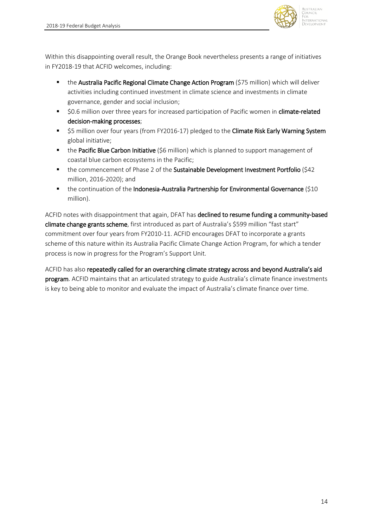

Within this disappointing overall result, the Orange Book nevertheless presents a range of initiatives in FY2018-19 that ACFID welcomes, including:

- **EXTE:** the Australia Pacific Regional Climate Change Action Program (\$75 million) which will deliver activities including continued investment in climate science and investments in climate governance, gender and social inclusion;
- \$0.6 million over three years for increased participation of Pacific women in climate-related decision-making processes;
- \$5 million over four years (from FY2016-17) pledged to the Climate Risk Early Warning System global initiative;
- the Pacific Blue Carbon Initiative (\$6 million) which is planned to support management of coastal blue carbon ecosystems in the Pacific;
- the commencement of Phase 2 of the Sustainable Development Investment Portfolio (\$42 million, 2016-2020); and
- the continuation of the Indonesia-Australia Partnership for Environmental Governance (\$10 million).

ACFID notes with disappointment that again, DFAT has declined to resume funding a community-based climate change grants scheme, first introduced as part of Australia's \$599 million "fast start" commitment over four years from FY2010-11. ACFID encourages DFAT to incorporate a grants scheme of this nature within its Australia Pacific Climate Change Action Program, for which a tender process is now in progress for the Program's Support Unit.

ACFID has also repeatedly called for an overarching climate strategy across and beyond Australia's aid program. ACFID maintains that an articulated strategy to guide Australia's climate finance investments is key to being able to monitor and evaluate the impact of Australia's climate finance over time.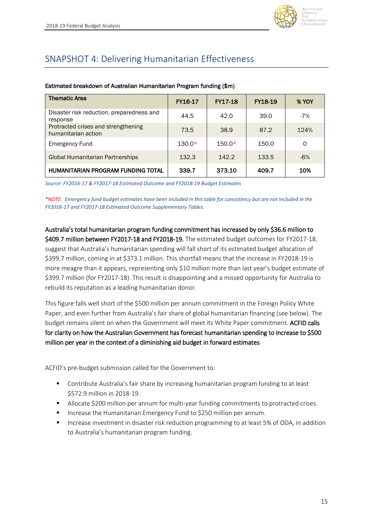

## <span id="page-14-0"></span>SNAPSHOT 4: Delivering Humanitarian Effectiveness

| <b>Thematic Area</b>                                       | FY16-17  | <b>FY17-18</b> | <b>FY18-19</b> | <b>% YOY</b> |
|------------------------------------------------------------|----------|----------------|----------------|--------------|
| Disaster risk reduction, preparedness and<br>response      | 44.5     | 42.0           | 39.0           | $-7%$        |
| Protracted crises and strengthening<br>humanitarian action | 73.5     | 38.9           | 87.2           | 124%         |
| <b>Emergency Fund</b>                                      | $130.0*$ | $150.0*$       | 150.0          | O            |
| Global Humanitarian Partnerships                           | 132.3    | 142.2          | 133.5          | $-6%$        |
| HUMANITARIAN PROGRAM FUNDING TOTAL                         | 339.7    | 373.10         | 409.7          | 10%          |

#### Estimated breakdown of Australian Humanitarian Program funding (\$m)

*Source: FY2016-17 & FY2017-18 Estimated Outcome and FY2018-19 Budget Estimates*

*\*NOTE: Emergency fund budget estimates have been included in this table for consistency but are not included in the FY2016-17 and FY2017-18 Estimated Outcome Supplementary Tables.* 

Australia's total humanitarian program funding commitment has increased by only \$36.6 million to \$409.7 million between FY2017-18 and FY2018-19. The estimated budget outcomes for FY2017-18, suggest that Australia's humanitarian spending will fall short of its estimated budget allocation of \$399.7 million, coming in at \$373.1 million. This shortfall means that the increase in FY2018-19 is more meagre than it appears, representing only \$10 million more than last year's budget estimate of \$399.7 million (for FY2017-18). This result is disappointing and a missed opportunity for Australia to rebuild its reputation as a leading humanitarian donor.

This figure falls well short of the \$500 million per annum commitment in the Foreign Policy White Paper, and even further from Australia's fair share of global humanitarian financing (see below). The budget remains silent on when the Government will meet its White Paper commitment. ACFID calls for clarity on how the Australian Government has forecast humanitarian spending to increase to \$500 million per year in the context of a diminishing aid budget in forward estimates.

ACFID's pre-budget submission called for the Government to:

- Contribute Australia's fair share by increasing humanitarian program funding to at least \$572.9 million in 2018-19.
- **■** Allocate \$200 million per annum for multi-year funding commitments to protracted crises.
- Increase the Humanitarian Emergency Fund to \$250 million per annum.
- Increase investment in disaster risk reduction programming to at least 5% of ODA, in addition to Australia's humanitarian program funding.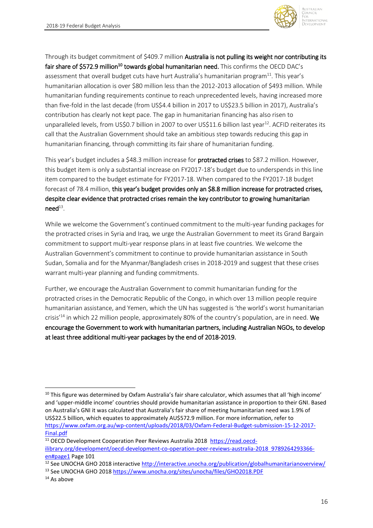

Through its budget commitment of \$409.7 million Australia is not pulling its weight nor contributing its fair share of \$572.9 million<sup>10</sup> towards global humanitarian need. This confirms the OECD DAC's assessment that overall budget cuts have hurt Australia's humanitarian program<sup>11</sup>. This year's humanitarian allocation is over \$80 million less than the 2012-2013 allocation of \$493 million. While humanitarian funding requirements continue to reach unprecedented levels, having increased more than five-fold in the last decade (from US\$4.4 billion in 2017 to US\$23.5 billion in 2017), Australia's contribution has clearly not kept pace. The gap in humanitarian financing has also risen to unparalleled levels, from US\$0.7 billion in 2007 to over US\$11.6 billion last year<sup>12</sup>. ACFID reiterates its call that the Australian Government should take an ambitious step towards reducing this gap in humanitarian financing, through committing its fair share of humanitarian funding.

This year's budget includes a \$48.3 million increase for **protracted crises** to \$87.2 million. However, this budget item is only a substantial increase on FY2017-18's budget due to underspends in this line item compared to the budget estimate for FY2017-18. When compared to the FY2017-18 budget forecast of 78.4 million, this year's budget provides only an \$8.8 million increase for protracted crises, despite clear evidence that protracted crises remain the key contributor to growing humanitarian  $\mathsf{need}^{\scriptscriptstyle 13}.$ 

While we welcome the Government's continued commitment to the multi-year funding packages for the protracted crises in Syria and Iraq, we urge the Australian Government to meet its Grand Bargain commitment to support multi-year response plans in at least five countries. We welcome the Australian Government's commitment to continue to provide humanitarian assistance in South Sudan, Somalia and for the Myanmar/Bangladesh crises in 2018-2019 and suggest that these crises warrant multi-year planning and funding commitments.

Further, we encourage the Australian Government to commit humanitarian funding for the protracted crises in the Democratic Republic of the Congo, in which over 13 million people require humanitarian assistance, and Yemen, which the UN has suggested is 'the world's worst humanitarian crisis<sup>'14</sup> in which 22 million people, approximately 80% of the country's population, are in need. We encourage the Government to work with humanitarian partners, including Australian NGOs, to develop at least three additional multi-year packages by the end of 2018-2019.

**.** 

<sup>&</sup>lt;sup>10</sup> This figure was determined by Oxfam Australia's fair share calculator, which assumes that all 'high income' and 'upper-middle income' countries should provide humanitarian assistance in proportion to their GNI. Based on Australia's GNI it was calculated that Australia's fair share of meeting humanitarian need was 1.9% of US\$22.5 billion, which equates to approximately AU\$572.9 million. For more information, refer to [https://www.oxfam.org.au/wp-content/uploads/2018/03/Oxfam-Federal-Budget-submission-15-12-2017-](https://www.oxfam.org.au/wp-content/uploads/2018/03/Oxfam-Federal-Budget-submission-15-12-2017-Final.pdf) [Final.pdf](https://www.oxfam.org.au/wp-content/uploads/2018/03/Oxfam-Federal-Budget-submission-15-12-2017-Final.pdf)

<sup>&</sup>lt;sup>11</sup> OECD Development Cooperation Peer Reviews Australia 2018 [https://read.oecd-](https://read.oecd-ilibrary.org/development/oecd-development-co-operation-peer-reviews-australia-2018_9789264293366-en#page1)

[ilibrary.org/development/oecd-development-co-operation-peer-reviews-australia-2018\\_9789264293366](https://read.oecd-ilibrary.org/development/oecd-development-co-operation-peer-reviews-australia-2018_9789264293366-en#page1) [en#page1](https://read.oecd-ilibrary.org/development/oecd-development-co-operation-peer-reviews-australia-2018_9789264293366-en#page1) Page 101

<sup>&</sup>lt;sup>12</sup> See UNOCHA GHO 2018 interactive<http://interactive.unocha.org/publication/globalhumanitarianoverview/>

<sup>&</sup>lt;sup>13</sup> See UNOCHA GHO 201[8 https://www.unocha.org/sites/unocha/files/GHO2018.PDF](https://www.unocha.org/sites/unocha/files/GHO2018.PDF)

<sup>&</sup>lt;sup>14</sup> As above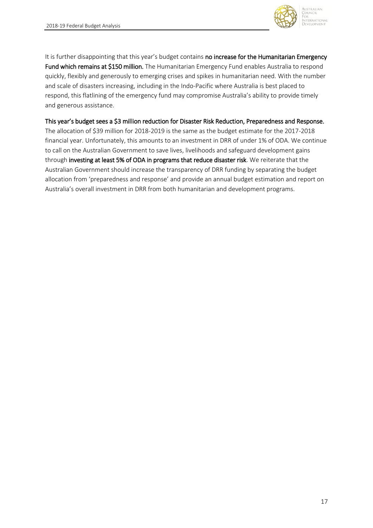

It is further disappointing that this year's budget contains no increase for the Humanitarian Emergency Fund which remains at \$150 million. The Humanitarian Emergency Fund enables Australia to respond quickly, flexibly and generously to emerging crises and spikes in humanitarian need. With the number and scale of disasters increasing, including in the Indo-Pacific where Australia is best placed to respond, this flatlining of the emergency fund may compromise Australia's ability to provide timely and generous assistance.

This year's budget sees a \$3 million reduction for Disaster Risk Reduction, Preparedness and Response.

The allocation of \$39 million for 2018-2019 is the same as the budget estimate for the 2017-2018 financial year. Unfortunately, this amounts to an investment in DRR of under 1% of ODA. We continue to call on the Australian Government to save lives, livelihoods and safeguard development gains through investing at least 5% of ODA in programs that reduce disaster risk. We reiterate that the Australian Government should increase the transparency of DRR funding by separating the budget allocation from 'preparedness and response' and provide an annual budget estimation and report on Australia's overall investment in DRR from both humanitarian and development programs.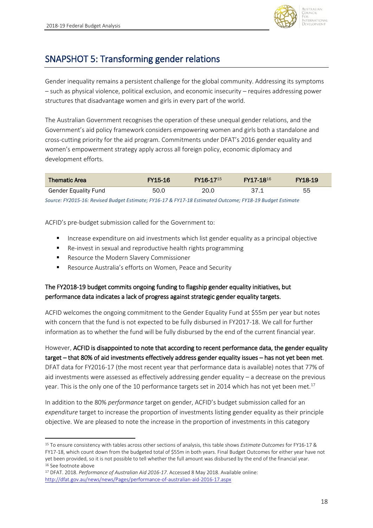

## <span id="page-17-0"></span>SNAPSHOT 5: Transforming gender relations

Gender inequality remains a persistent challenge for the global community. Addressing its symptoms – such as physical violence, political exclusion, and economic insecurity – requires addressing power structures that disadvantage women and girls in every part of the world.

The Australian Government recognises the operation of these unequal gender relations, and the Government's aid policy framework considers empowering women and girls both a standalone and cross-cutting priority for the aid program. Commitments under DFAT's 2016 gender equality and women's empowerment strategy apply across all foreign policy, economic diplomacy and development efforts.

| <b>Thematic Area</b>                                                                                     | FY15-16 | FY16-17 <sup>15</sup> | FY17-18 <sup>16</sup> | FY18-19 |  |  |  |  |
|----------------------------------------------------------------------------------------------------------|---------|-----------------------|-----------------------|---------|--|--|--|--|
| <b>Gender Equality Fund</b>                                                                              | 50.0    | 20.0                  | -371                  | 55      |  |  |  |  |
| Source: FY2015-16: Revised Budget Estimate; FY16-17 & FY17-18 Estimated Outcome; FY18-19 Budget Estimate |         |                       |                       |         |  |  |  |  |

ACFID's pre-budget submission called for the Government to:

- Increase expenditure on aid investments which list gender equality as a principal objective
- Re-invest in sexual and reproductive health rights programming
- Resource the Modern Slavery Commissioner
- Resource Australia's efforts on Women, Peace and Security

### The FY2018-19 budget commits ongoing funding to flagship gender equality initiatives, but performance data indicates a lack of progress against strategic gender equality targets.

ACFID welcomes the ongoing commitment to the Gender Equality Fund at \$55m per year but notes with concern that the fund is not expected to be fully disbursed in FY2017-18. We call for further information as to whether the fund will be fully disbursed by the end of the current financial year.

However, ACFID is disappointed to note that according to recent performance data, the gender equality target – that 80% of aid investments effectively address gender equality issues – has not yet been met. DFAT data for FY2016-17 (the most recent year that performance data is available) notes that 77% of aid investments were assessed as effectively addressing gender equality – a decrease on the previous year. This is the only one of the 10 performance targets set in 2014 which has not yet been met.<sup>17</sup>

In addition to the 80% *performance* target on gender, ACFID's budget submission called for an *expenditure* target to increase the proportion of investments listing gender equality as their principle objective. We are pleased to note the increase in the proportion of investments in this category

**<sup>.</sup>** <sup>15</sup> To ensure consistency with tables across other sections of analysis, this table shows *Estimate Outcomes* for FY16-17 & FY17-18, which count down from the budgeted total of \$55m in both years. Final Budget Outcomes for either year have not yet been provided, so it is not possible to tell whether the full amount was disbursed by the end of the financial year. <sup>16</sup> See footnote above

<sup>17</sup> DFAT. 2018. *Performance of Australian Aid 2016-17*. Accessed 8 May 2018. Available online: <http://dfat.gov.au/news/news/Pages/performance-of-australian-aid-2016-17.aspx>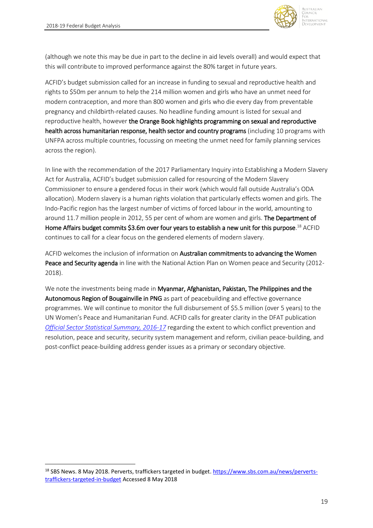$\overline{\phantom{a}}$ 



(although we note this may be due in part to the decline in aid levels overall) and would expect that this will contribute to improved performance against the 80% target in future years.

ACFID's budget submission called for an increase in funding to sexual and reproductive health and rights to \$50m per annum to help the 214 million women and girls who have an unmet need for modern contraception, and more than 800 women and girls who die every day from preventable pregnancy and childbirth-related causes. No headline funding amount is listed for sexual and reproductive health, however the Orange Book highlights programming on sexual and reproductive health across humanitarian response, health sector and country programs (including 10 programs with UNFPA across multiple countries, focussing on meeting the unmet need for family planning services across the region).

In line with the recommendation of the 2017 Parliamentary Inquiry into Establishing a Modern Slavery Act for Australia, ACFID's budget submission called for resourcing of the Modern Slavery Commissioner to ensure a gendered focus in their work (which would fall outside Australia's ODA allocation). Modern slavery is a human rights violation that particularly effects women and girls. The Indo-Pacific region has the largest number of victims of forced labour in the world, amounting to around 11.7 million people in 2012, 55 per cent of whom are women and girls. The Department of Home Affairs budget commits \$3.6m over four years to establish a new unit for this purpose.<sup>18</sup> ACFID continues to call for a clear focus on the gendered elements of modern slavery.

ACFID welcomes the inclusion of information on Australian commitments to advancing the Women Peace and Security agenda in line with the National Action Plan on Women peace and Security (2012- 2018).

We note the investments being made in Myanmar, Afghanistan, Pakistan, The Philippines and the Autonomous Region of Bougainville in PNG as part of peacebuilding and effective governance programmes. We will continue to monitor the full disbursement of \$5.5 million (over 5 years) to the UN Women's Peace and Humanitarian Fund. ACFID calls for greater clarity in the DFAT publication *[Official Sector Statistical Summary, 2016-17](http://dfat.gov.au/about-us/publications/Documents/aus-international-dev-assistance-official-sector-stats-summary.pdf)* regarding the extent to which conflict prevention and resolution, peace and security, security system management and reform, civilian peace-building, and post-conflict peace-building address gender issues as a primary or secondary objective.

<sup>&</sup>lt;sup>18</sup> SBS News. 8 May 2018. Perverts, traffickers targeted in budget. [https://www.sbs.com.au/news/perverts](https://www.sbs.com.au/news/perverts-traffickers-targeted-in-budget)[traffickers-targeted-in-budget](https://www.sbs.com.au/news/perverts-traffickers-targeted-in-budget) Accessed 8 May 2018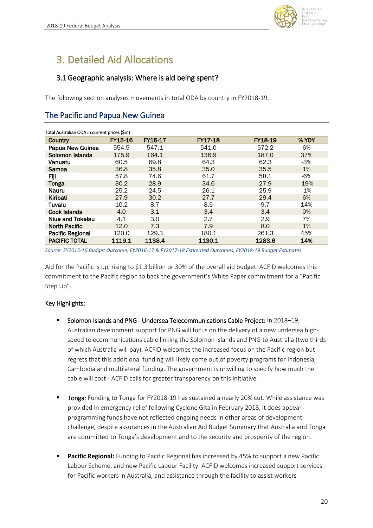

# <span id="page-19-0"></span>3. Detailed Aid Allocations

### <span id="page-19-1"></span>3.1Geographic analysis: Where is aid being spent?

The following section analyses movements in total ODA by country in FY2018-19.

## The Pacific and Papua New Guinea

| Total Australian ODA in current prices (\$m) |                |         |                |                |        |  |  |
|----------------------------------------------|----------------|---------|----------------|----------------|--------|--|--|
| Country                                      | <b>FY15-16</b> | FY16-17 | <b>FY17-18</b> | <b>FY18-19</b> | % YOY  |  |  |
| Papua New Guinea                             | 554.5          | 547.1   | 541.0          | 572.2          | 6%     |  |  |
| Solomon Islands                              | 175.9          | 164.1   | 136.9          | 187.0          | 37%    |  |  |
| Vanuatu                                      | 60.5           | 69.8    | 64.3           | 62.3           | $-3%$  |  |  |
| Samoa                                        | 36.8           | 35.8    | 35.0           | 35.5           | 1%     |  |  |
| Fiji                                         | 57.8           | 74.6    | 61.7           | 58.1           | $-6%$  |  |  |
| <b>Tonga</b>                                 | 30.2           | 28.9    | 34.6           | 27.9           | $-19%$ |  |  |
| <b>Nauru</b>                                 | 25.2           | 24.5    | 26.1           | 25.9           | $-1\%$ |  |  |
| Kiribati                                     | 27.9           | 30.2    | 27.7           | 29.4           | 6%     |  |  |
| Tuvalu                                       | 10.2           | 8.7     | 8.5            | 9.7            | 14%    |  |  |
| <b>Cook Islands</b>                          | 4.0            | 3.1     | 3.4            | 3.4            | 0%     |  |  |
| Niue and Tokelau                             | 4.1            | 3.0     | 2.7            | 2.9            | 7%     |  |  |
| <b>North Pacific</b>                         | 12.0           | 7.3     | 7.9            | 8.0            | $1\%$  |  |  |
| <b>Pacific Regional</b>                      | 120.0          | 129.3   | 180.1          | 261.3          | 45%    |  |  |
| <b>PACIFIC TOTAL</b>                         | 1119.1         | 1138.4  | 1130.1         | 1283.6         | 14%    |  |  |

*Source: FY2015-16 Budget Outcome, FY2016-17 & FY2017-18 Estimated Outcomes, FY2018-19 Budget Estimates*

Aid for the Pacific is up, rising to \$1.3 billion or 30% of the overall aid budget. ACFID welcomes this commitment to the Pacific region to back the government's White Paper commitment for a "Pacific Step Up".

### Key Highlights:

- Solomon Islands and PNG Undersea Telecommunications Cable Project: In 2018-19, Australian development support for PNG will focus on the delivery of a new undersea highspeed telecommunications cable linking the Solomon Islands and PNG to Australia (two thirds of which Australia will pay). ACFID welcomes the increased focus on the Pacific region but regrets that this additional funding will likely come out of poverty programs for Indonesia, Cambodia and multilateral funding. The government is unwilling to specify how much the cable will cost - ACFID calls for greater transparency on this initiative.
- Tonga: Funding to Tonga for FY2018-19 has sustained a nearly 20% cut. While assistance was provided in emergency relief following Cyclone Gita in February 2018, it does appear programming funds have not reflected ongoing needs in other areas of development challenge, despite assurances in the Australian Aid Budget Summary that Australia and Tonga are committed to Tonga's development and to the security and prosperity of the region.
- **Pacific Regional:** Funding to Pacific Regional has increased by 45% to support a new Pacific Labour Scheme, and new Pacific Labour Facility. ACFID welcomes increased support services for Pacific workers in Australia, and assistance through the facility to assist workers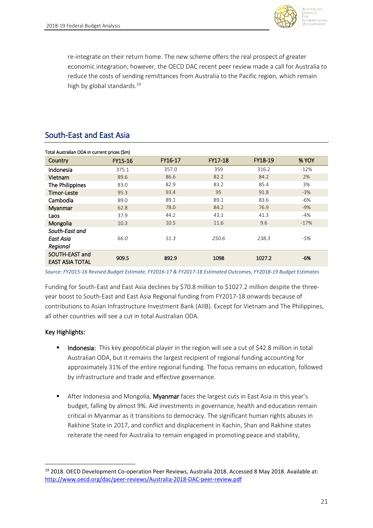

re-integrate on their return home. The new scheme offers the real prospect of greater economic integration; however, the OECD DAC recent peer review made a call for Australia to reduce the costs of sending remittances from Australia to the Pacific region, which remain high by global standards.<sup>19</sup>

### South-East and East Asia

| Total Australian ODA in current prices (\$m) |         |         |         |         |        |  |  |  |
|----------------------------------------------|---------|---------|---------|---------|--------|--|--|--|
| Country                                      | FY15-16 | FY16-17 | FY17-18 | FY18-19 | % YOY  |  |  |  |
| Indonesia                                    | 375.1   | 357.0   | 359     | 316.2   | $-12%$ |  |  |  |
| Vietnam                                      | 89.6    | 86.6    | 82.2    | 84.2    | 2%     |  |  |  |
| The Philippines                              | 83.0    | 82.9    | 83.2    | 85.4    | 3%     |  |  |  |
| <b>Timor-Leste</b>                           | 95.3    | 93.4    | 95      | 91.8    | $-3%$  |  |  |  |
| Cambodia                                     | 89.0    | 89.1    | 89.1    | 83.6    | -6%    |  |  |  |
| Myanmar                                      | 62.8    | 78.0    | 84.2    | 76.9    | $-9%$  |  |  |  |
| Laos                                         | 37.9    | 44.2    | 43.1    | 41.3    | $-4%$  |  |  |  |
| Mongolia                                     | 10.3    | 10.5    | 11.6    | 9.6     | $-17%$ |  |  |  |
| South-East and                               |         |         |         |         |        |  |  |  |
| East Asia                                    | 66.0    | 51.3    | 250.6   | 238.3   | -5%    |  |  |  |
| Regional                                     |         |         |         |         |        |  |  |  |
| SOUTH-EAST and<br><b>EAST ASIA TOTAL</b>     | 909.5   | 892.9   | 1098    | 1027.2  | -6%    |  |  |  |

*Source: FY2015-16 Revised Budget Estimate, FY2016-17 & FY2017-18 Estimated Outcomes, FY2018-19 Budget Estimates*

Funding for South-East and East Asia declines by \$70.8 million to \$1027.2 million despite the threeyear boost to South-East and East Asia Regional funding from FY2017-18 onwards because of contributions to Asian Infrastructure Investment Bank (AIIB). Except for Vietnam and The Philippines, all other countries will see a cut in total Australian ODA.

#### Key Highlights:

 $\overline{\phantom{a}}$ 

- **Indonesia:** This key geopolitical player in the region will see a cut of \$42.8 million in total Australian ODA, but it remains the largest recipient of regional funding accounting for approximately 31% of the entire regional funding. The focus remains on education, followed by infrastructure and trade and effective governance.
- **E** After Indonesia and Mongolia, Myanmar faces the largest cuts in East Asia in this year's budget, falling by almost 9%. Aid investments in governance, health and education remain critical in Myanmar as it transitions to democracy. The significant human rights abuses in Rakhine State in 2017, and conflict and displacement in Kachin, Shan and Rakhine states reiterate the need for Australia to remain engaged in promoting peace and stability,

<sup>&</sup>lt;sup>19</sup> 2018. OECD Development Co-operation Peer Reviews, Australia 2018. Accessed 8 May 2018. Available at: <http://www.oecd.org/dac/peer-reviews/Australia-2018-DAC-peer-review.pdf>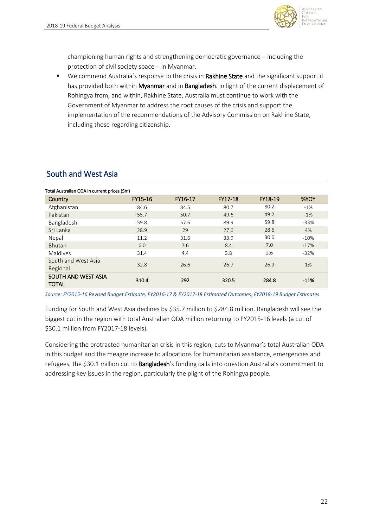

Australian **DUNCIL** uternational **DEVELOPMENT** 

championing human rights and strengthening democratic governance – including the protection of civil society space - in Myanmar.

■ We commend Australia's response to the crisis in Rakhine State and the significant support it has provided both within Myanmar and in Bangladesh. In light of the current displacement of Rohingya from, and within, Rakhine State, Australia must continue to work with the Government of Myanmar to address the root causes of the crisis and support the implementation of the recommendations of the Advisory Commission on Rakhine State, including those regarding citizenship.

### South and West Asia

#### Total Australian ODA in current prices (\$m) Country FY15-16 FY16-17 FY17-18 FY18-19 %YOY Afghanistan 84.6 84.5 80.7 80.2 -1% Pakistan 55.7 50.7 49.6 49.2 -1% Bangladesh 59.8 57.6 89.9 59.8 -33% Sri Lanka 28.9 29 27.6 28.6 4% Nepal 11.2 31.6 33.9 30.6 -10% Bhutan 6.0 6.0 7.6 8.4 7.0 -17% Maldives 31.4 4.4 3.8 2.6 -32% South and West Asia Regional 32.8 26.6 26.7 26.9 1% SOUTH AND WEST ASIA **TOTAL** 310.4 292 320.5 284.8 -11%

*Source: FY2015-16 Revised Budget Estimate, FY2016-17 & FY2017-18 Estimated Outcomes; FY2018-19 Budget Estimates*

Funding for South and West Asia declines by \$35.7 million to \$284.8 million. Bangladesh will see the biggest cut in the region with total Australian ODA million returning to FY2015-16 levels (a cut of \$30.1 million from FY2017-18 levels).

Considering the protracted humanitarian crisis in this region, cuts to Myanmar's total Australian ODA in this budget and the meagre increase to allocations for humanitarian assistance, emergencies and refugees, the \$30.1 million cut to **Bangladesh**'s funding calls into question Australia's commitment to addressing key issues in the region, particularly the plight of the Rohingya people.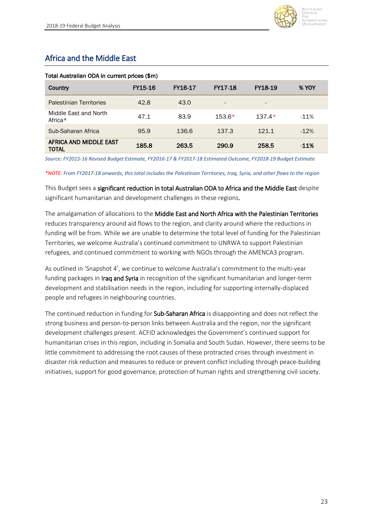

## Africa and the Middle East

| Country                                | FY15-16 | FY16-17 | <b>FY17-18</b>           | FY18-19                  | % YOY   |
|----------------------------------------|---------|---------|--------------------------|--------------------------|---------|
| <b>Palestinian Territories</b>         | 42.8    | 43.0    | $\overline{\phantom{a}}$ | $\overline{\phantom{0}}$ |         |
| Middle East and North<br>Africa*       | 47.1    | 83.9    | $153.6*$                 | $137.4*$                 | $-11%$  |
| Sub-Saharan Africa                     | 95.9    | 136.6   | 137.3                    | 121.1                    | $-12%$  |
| AFRICA AND MIDDLE EAST<br><b>TOTAL</b> | 185.8   | 263.5   | 290.9                    | 258.5                    | $-11\%$ |

#### Total Australian ODA in current prices (\$m)

*Source: FY2015-16 Revised Budget Estimate, FY2016-17 & FY2017-18 Estimated Outcome, FY2018-19 Budget Estimate*

*\*NOTE: From FY2017-18 onwards, this total includes the Palestinian Territories, Iraq, Syria, and other flows to the region*

This Budget sees a significant reduction in total Australian ODA to Africa and the Middle East despite significant humanitarian and development challenges in these regions.

The amalgamation of allocations to the Middle East and North Africa with the Palestinian Territories reduces transparency around aid flows to the region, and clarity around where the reductions in funding will be from. While we are unable to determine the total level of funding for the Palestinian Territories, we welcome Australia's continued commitment to UNRWA to support Palestinian refugees, and continued commitment to working with NGOs through the AMENCA3 program.

As outlined in 'Snapshot 4', we continue to welcome Australia's commitment to the multi-year funding packages in **Iraq and Syria** in recognition of the significant humanitarian and longer-term development and stabilisation needs in the region, including for supporting internally-displaced people and refugees in neighbouring countries.

The continued reduction in funding for Sub-Saharan Africa is disappointing and does not reflect the strong business and person-to-person links between Australia and the region, nor the significant development challenges present. ACFID acknowledges the Government's continued support for humanitarian crises in this region, including in Somalia and South Sudan. However, there seems to be little commitment to addressing the root causes of these protracted crises through investment in disaster risk reduction and measures to reduce or prevent conflict including through peace-building initiatives, support for good governance, protection of human rights and strengthening civil society.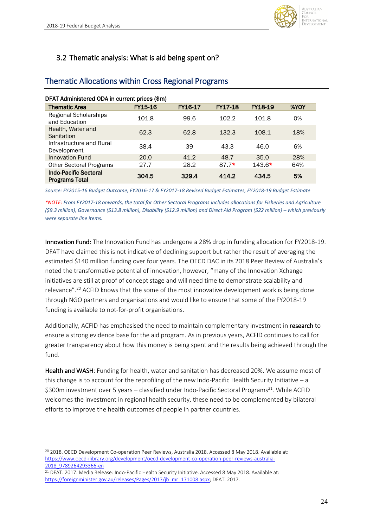

### <span id="page-23-0"></span>3.2 Thematic analysis: What is aid being spent on?

| DFAT Administered ODA in current prices (\$m)         |         |         |                |                |        |  |  |
|-------------------------------------------------------|---------|---------|----------------|----------------|--------|--|--|
| <b>Thematic Area</b>                                  | FY15-16 | FY16-17 | <b>FY17-18</b> | <b>FY18-19</b> | %YOY   |  |  |
| <b>Regional Scholarships</b><br>and Education         | 101.8   | 99.6    | 102.2          | 101.8          | 0%     |  |  |
| Health, Water and<br>Sanitation                       | 62.3    | 62.8    | 132.3          | 108.1          | $-18%$ |  |  |
| Infrastructure and Rural<br>Development               | 38.4    | 39      | 43.3           | 46.0           | 6%     |  |  |
| Innovation Fund                                       | 20.0    | 41.2    | 48.7           | 35.0           | $-28%$ |  |  |
| <b>Other Sectoral Programs</b>                        | 27.7    | 28.2    | $87.7*$        | $143.6*$       | 64%    |  |  |
| <b>Indo-Pacific Sectoral</b><br><b>Programs Total</b> | 304.5   | 329.4   | 414.2          | 434.5          | 5%     |  |  |

### Thematic Allocations within Cross Regional Programs

*Source: FY2015-16 Budget Outcome, FY2016-17 & FY2017-18 Revised Budget Estimates, FY2018-19 Budget Estimate*

*\*NOTE: From FY2017-18 onwards, the total for Other Sectoral Programs includes allocations for Fisheries and Agriculture (\$9.3 million), Governance (\$13.8 million), Disability (\$12.9 million) and Direct Aid Program (\$22 million) – which previously were separate line items.*

Innovation Fund: The Innovation Fund has undergone a 28% drop in funding allocation for FY2018-19. DFAT have claimed this is not indicative of declining support but rather the result of averaging the estimated \$140 million funding over four years. The OECD DAC in its 2018 Peer Review of Australia's noted the transformative potential of innovation, however, "many of the Innovation Xchange initiatives are still at proof of concept stage and will need time to demonstrate scalability and relevance".<sup>20</sup> ACFID knows that the some of the most innovative development work is being done through NGO partners and organisations and would like to ensure that some of the FY2018-19 funding is available to not-for-profit organisations.

Additionally, ACFID has emphasised the need to maintain complementary investment in research to ensure a strong evidence base for the aid program. As in previous years, ACFID continues to call for greater transparency about how this money is being spent and the results being achieved through the fund.

Health and WASH: Funding for health, water and sanitation has decreased 20%. We assume most of this change is to account for the reprofiling of the new Indo-Pacific Health Security Initiative – a \$300m investment over 5 years - classified under Indo-Pacific Sectoral Programs<sup>21</sup>. While ACFID welcomes the investment in regional health security, these need to be complemented by bilateral efforts to improve the health outcomes of people in partner countries.

<sup>1</sup> <sup>20</sup> 2018. OECD Development Co-operation Peer Reviews, Australia 2018. Accessed 8 May 2018. Available at: [https://www.oecd-ilibrary.org/development/oecd-development-co-operation-peer-reviews-australia-](https://www.oecd-ilibrary.org/development/oecd-development-co-operation-peer-reviews-australia-2018_9789264293366-en)[2018\\_9789264293366-en](https://www.oecd-ilibrary.org/development/oecd-development-co-operation-peer-reviews-australia-2018_9789264293366-en)

<sup>21</sup> DFAT. 2017. Media Release: Indo-Pacific Health Security Initiative. Accessed 8 May 2018. Available at: [https://foreignminister.gov.au/releases/Pages/2017/jb\\_mr\\_171008.aspx;](https://foreignminister.gov.au/releases/Pages/2017/jb_mr_171008.aspx) DFAT. 2017.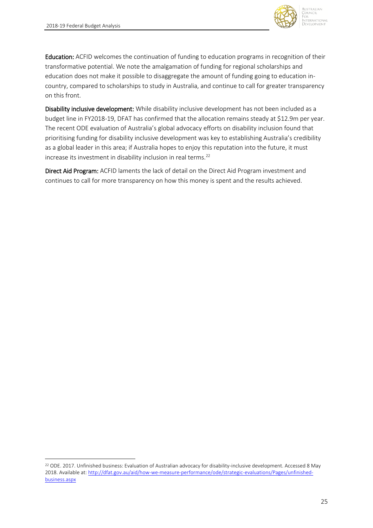**.** 



Education: ACFID welcomes the continuation of funding to education programs in recognition of their transformative potential. We note the amalgamation of funding for regional scholarships and education does not make it possible to disaggregate the amount of funding going to education incountry, compared to scholarships to study in Australia, and continue to call for greater transparency on this front.

Disability inclusive development: While disability inclusive development has not been included as a budget line in FY2018-19, DFAT has confirmed that the allocation remains steady at \$12.9m per year. The recent ODE evaluation of Australia's global advocacy efforts on disability inclusion found that prioritising funding for disability inclusive development was key to establishing Australia's credibility as a global leader in this area; if Australia hopes to enjoy this reputation into the future, it must increase its investment in disability inclusion in real terms.<sup>22</sup>

Direct Aid Program: ACFID laments the lack of detail on the Direct Aid Program investment and continues to call for more transparency on how this money is spent and the results achieved.

<sup>22</sup> ODE. 2017. Unfinished business: Evaluation of Australian advocacy for disability-inclusive development. Accessed 8 May 2018. Available at[: http://dfat.gov.au/aid/how-we-measure-performance/ode/strategic-evaluations/Pages/unfinished](http://dfat.gov.au/aid/how-we-measure-performance/ode/strategic-evaluations/Pages/unfinished-business.aspx)[business.aspx](http://dfat.gov.au/aid/how-we-measure-performance/ode/strategic-evaluations/Pages/unfinished-business.aspx)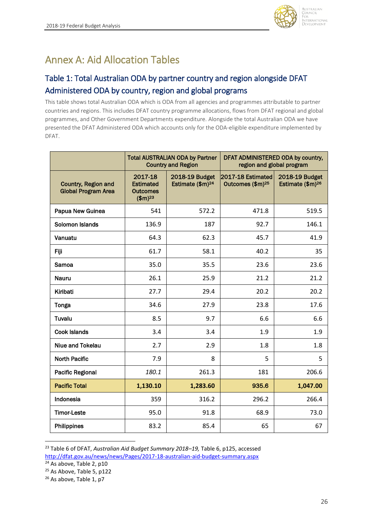

# <span id="page-25-0"></span>Annex A: Aid Allocation Tables

## <span id="page-25-1"></span>Table 1: Total Australian ODA by partner country and region alongside DFAT Administered ODA by country, region and global programs

This table shows total Australian ODA which is ODA from all agencies and programmes attributable to partner countries and regions. This includes DFAT country programme allocations, flows from DFAT regional and global programmes, and Other Government Departments expenditure. Alongside the total Australian ODA we have presented the DFAT Administered ODA which accounts only for the ODA-eligible expenditure implemented by DFAT.

|                                                          | <b>Total AUSTRALIAN ODA by Partner</b><br><b>Country and Region</b>    |                                                | DFAT ADMINISTERED ODA by country,<br>region and global program |                                                |  |
|----------------------------------------------------------|------------------------------------------------------------------------|------------------------------------------------|----------------------------------------------------------------|------------------------------------------------|--|
| <b>Country, Region and</b><br><b>Global Program Area</b> | 2017-18<br><b>Estimated</b><br><b>Outcomes</b><br>$$m$ ) <sup>23</sup> | 2018-19 Budget<br>Estimate (\$m) <sup>24</sup> | 2017-18 Estimated<br>Outcomes (\$m) <sup>25</sup>              | 2018-19 Budget<br>Estimate (\$m) <sup>26</sup> |  |
| Papua New Guinea                                         | 541                                                                    | 572.2                                          | 471.8                                                          | 519.5                                          |  |
| Solomon Islands                                          | 136.9                                                                  | 187                                            | 92.7                                                           | 146.1                                          |  |
| Vanuatu                                                  | 64.3                                                                   | 62.3                                           | 45.7                                                           | 41.9                                           |  |
| Fiji                                                     | 61.7                                                                   | 58.1                                           | 40.2                                                           | 35                                             |  |
| Samoa                                                    | 35.0                                                                   | 35.5                                           | 23.6                                                           | 23.6                                           |  |
| <b>Nauru</b>                                             | 26.1                                                                   | 25.9                                           | 21.2                                                           | 21.2                                           |  |
| Kiribati                                                 | 27.7                                                                   | 29.4                                           | 20.2                                                           | 20.2                                           |  |
| Tonga                                                    | 34.6                                                                   | 27.9                                           | 23.8                                                           | 17.6                                           |  |
| Tuvalu                                                   | 8.5                                                                    | 9.7                                            | 6.6                                                            | 6.6                                            |  |
| <b>Cook Islands</b>                                      | 3.4                                                                    | 3.4                                            | 1.9                                                            | 1.9                                            |  |
| Niue and Tokelau                                         | 2.7                                                                    | 2.9                                            | 1.8                                                            | 1.8                                            |  |
| <b>North Pacific</b>                                     | 7.9                                                                    | 8                                              | 5                                                              | 5                                              |  |
| <b>Pacific Regional</b>                                  | 180.1                                                                  | 261.3                                          | 181                                                            | 206.6                                          |  |
| <b>Pacific Total</b>                                     | 1,130.10                                                               | 1,283.60                                       | 935.6                                                          | 1,047.00                                       |  |
| Indonesia                                                | 359                                                                    | 316.2                                          | 296.2                                                          | 266.4                                          |  |
| <b>Timor-Leste</b>                                       | 95.0                                                                   | 91.8                                           | 68.9                                                           | 73.0                                           |  |
| Philippines                                              | 83.2                                                                   | 85.4                                           | 65                                                             | 67                                             |  |

<sup>23</sup> Table 6 of DFAT, *Australian Aid Budget Summary 2018–19,* Table 6, p125, accessed <http://dfat.gov.au/news/news/Pages/2017-18-australian-aid-budget-summary.aspx>

**.** 

 $24$  As above, Table 2, p10

<sup>&</sup>lt;sup>25</sup> As Above, Table 5, p122

<sup>&</sup>lt;sup>26</sup> As above, Table 1, p7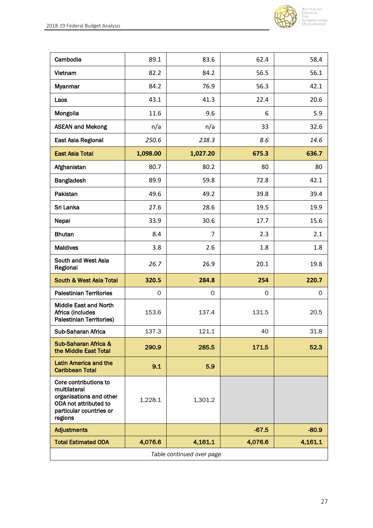

| Cambodia                                                                                                                        | 89.1     | 83.6           | 62.4    | 58.4    |
|---------------------------------------------------------------------------------------------------------------------------------|----------|----------------|---------|---------|
| Vietnam                                                                                                                         | 82.2     | 84.2           | 56.5    | 56.1    |
| Myanmar                                                                                                                         | 84.2     | 76.9           | 56.3    | 42.1    |
| Laos                                                                                                                            | 43.1     | 41.3           | 22.4    | 20.6    |
| Mongolia                                                                                                                        | 11.6     | 9.6            | 6       | 5.9     |
| <b>ASEAN and Mekong</b>                                                                                                         | n/a      | n/a            | 33      | 32.6    |
| East Asia Regional                                                                                                              | 250.6    | 238.3          | 8.6     | 14.6    |
| <b>East Asia Total</b>                                                                                                          | 1,098.00 | 1,027.20       | 675.3   | 636.7   |
| Afghanistan                                                                                                                     | 80.7     | 80.2           | 80      | 80      |
| Bangladesh                                                                                                                      | 89.9     | 59.8           | 72.8    | 42.1    |
| Pakistan                                                                                                                        | 49.6     | 49.2           | 39.8    | 39.4    |
| Sri Lanka                                                                                                                       | 27.6     | 28.6           | 19.5    | 19.9    |
| Nepal                                                                                                                           | 33.9     | 30.6           | 17.7    | 15.6    |
| <b>Bhutan</b>                                                                                                                   | 8.4      | $\overline{7}$ | 2.3     | 2.1     |
| <b>Maldives</b>                                                                                                                 | 3.8      | 2.6            | 1.8     | 1.8     |
|                                                                                                                                 |          |                |         |         |
| South and West Asia<br>Regional                                                                                                 | 26.7     | 26.9           | 20.1    | 19.8    |
| <b>South &amp; West Asia Total</b>                                                                                              | 320.5    | 284.8          | 254     | 220.7   |
| <b>Palestinian Territories</b>                                                                                                  | 0        | 0              | 0       | 0       |
| <b>Middle East and North</b><br>Africa (includes<br><b>Palestinian Territories)</b>                                             | 153.6    | 137.4          | 131.5   | 20.5    |
| Sub-Saharan Africa                                                                                                              | 137.3    | 121.1          | 40      | 31.8    |
| Sub-Saharan Africa &<br>the Middle East Total                                                                                   | 290.9    | 285.5          | 171.5   | 52.3    |
| <b>Latin America and the</b><br><b>Caribbean Total</b>                                                                          | 9.1      | 5.9            |         |         |
| Core contributions to<br>multilateral<br>organisations and other<br>ODA not attributed to<br>particular countries or<br>regions | 1,228.1  | 1,301.2        |         |         |
| <b>Adjustments</b>                                                                                                              |          |                | $-67.5$ | $-80.9$ |
| <b>Total Estimated ODA</b>                                                                                                      | 4,076.6  | 4,161.1        | 4,076.6 | 4,161.1 |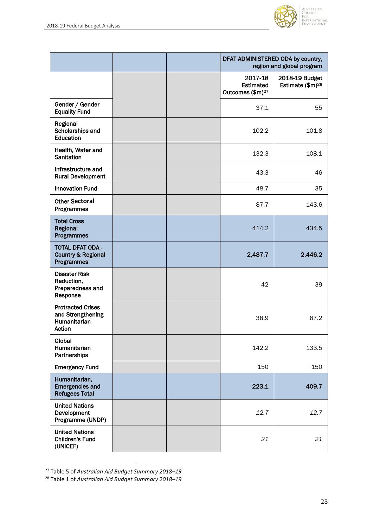

|                                                                         |  | DFAT ADMINISTERED ODA by country,<br>region and global program |                                                |  |
|-------------------------------------------------------------------------|--|----------------------------------------------------------------|------------------------------------------------|--|
|                                                                         |  | 2017-18<br><b>Estimated</b><br>Outcomes (\$m) <sup>27</sup>    | 2018-19 Budget<br>Estimate (\$m) <sup>28</sup> |  |
| Gender / Gender<br><b>Equality Fund</b>                                 |  | 37.1                                                           | 55                                             |  |
| Regional<br>Scholarships and<br>Education                               |  | 102.2                                                          | 101.8                                          |  |
| Health, Water and<br><b>Sanitation</b>                                  |  | 132.3                                                          | 108.1                                          |  |
| Infrastructure and<br><b>Rural Development</b>                          |  | 43.3                                                           | 46                                             |  |
| <b>Innovation Fund</b>                                                  |  | 48.7                                                           | 35                                             |  |
| <b>Other Sectoral</b><br>Programmes                                     |  | 87.7                                                           | 143.6                                          |  |
| <b>Total Cross</b><br>Regional<br>Programmes                            |  | 414.2                                                          | 434.5                                          |  |
| <b>TOTAL DFAT ODA -</b><br><b>Country &amp; Regional</b><br>Programmes  |  | 2,487.7                                                        | 2,446.2                                        |  |
| <b>Disaster Risk</b><br>Reduction,<br>Preparedness and<br>Response      |  | 42                                                             | 39                                             |  |
| <b>Protracted Crises</b><br>and Strengthening<br>Humanitarian<br>Action |  | 38.9                                                           | 87.2                                           |  |
| Global<br>Humanitarian<br>Partnerships                                  |  | 142.2                                                          | 133.5                                          |  |
| <b>Emergency Fund</b>                                                   |  | 150                                                            | 150                                            |  |
| Humanitarian,<br><b>Emergencies and</b><br><b>Refugees Total</b>        |  | 223.1                                                          | 409.7                                          |  |
| <b>United Nations</b><br>Development<br>Programme (UNDP)                |  | 12.7                                                           | 12.7                                           |  |
| <b>United Nations</b><br><b>Children's Fund</b><br>(UNICEF)             |  | 21                                                             | 21                                             |  |

<sup>27</sup> Table 5 of *Australian Aid Budget Summary 2018–19*

 $\overline{a}$ 

<sup>28</sup> Table 1 of *Australian Aid Budget Summary 2018–19*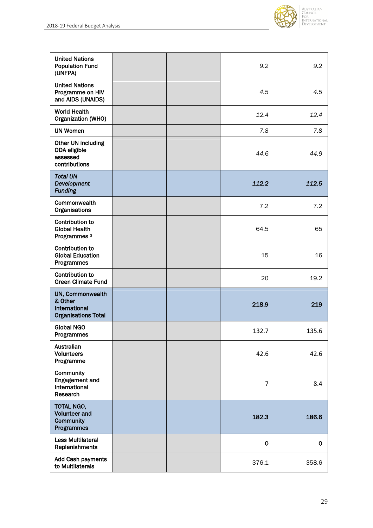

| <b>United Nations</b><br><b>Population Fund</b><br>(UNFPA)                        |  | 9.2            | 9.2         |
|-----------------------------------------------------------------------------------|--|----------------|-------------|
| <b>United Nations</b><br>Programme on HIV<br>and AIDS (UNAIDS)                    |  | 4.5            | 4.5         |
| <b>World Health</b><br>Organization (WHO)                                         |  | 12.4           | 12.4        |
| <b>UN Women</b>                                                                   |  | 7.8            | 7.8         |
| Other UN including<br>ODA eligible<br>assessed<br>contributions                   |  | 44.6           | 44.9        |
| <b>Total UN</b><br>Development<br><b>Funding</b>                                  |  | 112.2          | 112.5       |
| Commonwealth<br>Organisations                                                     |  | 7.2            | 7.2         |
| Contribution to<br><b>Global Health</b><br>Programmes <sup>3</sup>                |  | 64.5           | 65          |
| <b>Contribution to</b><br><b>Global Education</b><br>Programmes                   |  | 15             | 16          |
| <b>Contribution to</b><br><b>Green Climate Fund</b>                               |  | 20             | 19.2        |
| UN, Commonwealth<br>& Other<br><b>International</b><br><b>Organisations Total</b> |  | 218.9          | 219         |
| <b>Global NGO</b><br>Programmes                                                   |  | 132.7          | 135.6       |
| Australian<br><b>Volunteers</b><br>Programme                                      |  | 42.6           | 42.6        |
| Community<br><b>Engagement and</b><br>International<br>Research                   |  | $\overline{7}$ | 8.4         |
| TOTAL NGO,<br><b>Volunteer and</b><br><b>Community</b><br>Programmes              |  | 182.3          | 186.6       |
| <b>Less Multilateral</b><br>Replenishments                                        |  | $\mathbf 0$    | $\mathbf 0$ |
| Add Cash payments<br>to Multilaterals                                             |  | 376.1          | 358.6       |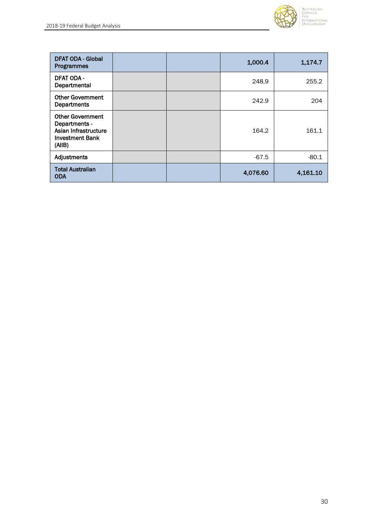

| <b>DFAT ODA - Global</b><br><b>Programmes</b>                                                        |  | 1,000.4  | 1,174.7  |
|------------------------------------------------------------------------------------------------------|--|----------|----------|
| <b>DFAT ODA -</b><br>Departmental                                                                    |  | 248.9    | 255.2    |
| <b>Other Government</b><br><b>Departments</b>                                                        |  | 242.9    | 204      |
| <b>Other Government</b><br>Departments -<br>Asian Infrastructure<br><b>Investment Bank</b><br>(AIIB) |  | 164.2    | 161.1    |
| Adjustments                                                                                          |  | $-67.5$  | $-80.1$  |
| <b>Total Australian</b><br><b>ODA</b>                                                                |  | 4,076.60 | 4,161.10 |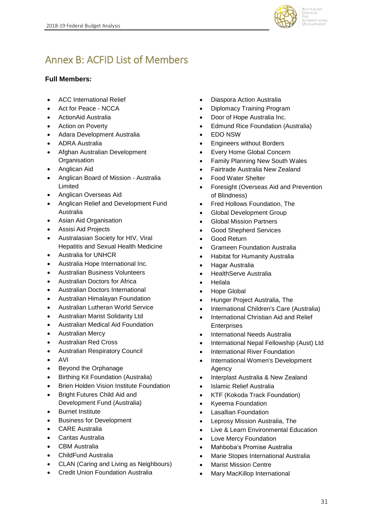

# <span id="page-30-0"></span>Annex B: ACFID List of Members

### **Full Members:**

- ACC International Relief
- Act for Peace NCCA
- ActionAid Australia
- Action on Poverty
- Adara Development Australia
- ADRA Australia
- Afghan Australian Development **Organisation**
- Anglican Aid
- Anglican Board of Mission Australia Limited
- Anglican Overseas Aid
- Anglican Relief and Development Fund Australia
- Asian Aid Organisation
- Assisi Aid Projects
- Australasian Society for HIV, Viral Hepatitis and Sexual Health Medicine
- Australia for UNHCR
- Australia Hope International Inc.
- Australian Business Volunteers
- Australian Doctors for Africa
- Australian Doctors International
- Australian Himalayan Foundation
- Australian Lutheran World Service
- Australian Marist Solidarity Ltd
- Australian Medical Aid Foundation
- Australian Mercy
- Australian Red Cross
- Australian Respiratory Council
- AVI
- Beyond the Orphanage
- Birthing Kit Foundation (Australia)
- Brien Holden Vision Institute Foundation
- Bright Futures Child Aid and Development Fund (Australia)
- Burnet Institute
- Business for Development
- CARE Australia
- Caritas Australia
- CBM Australia
- ChildFund Australia
- CLAN (Caring and Living as Neighbours)
- Credit Union Foundation Australia
- Diaspora Action Australia
- Diplomacy Training Program
- Door of Hope Australia Inc.
- Edmund Rice Foundation (Australia)
- EDO NSW
- Engineers without Borders
- Every Home Global Concern
- Family Planning New South Wales
- Fairtrade Australia New Zealand
- Food Water Shelter
- Foresight (Overseas Aid and Prevention of Blindness)
- Fred Hollows Foundation, The
- Global Development Group
- Global Mission Partners
- Good Shepherd Services
- Good Return
- Grameen Foundation Australia
- Habitat for Humanity Australia
- Hagar Australia
- HealthServe Australia
- Heilala
- Hope Global
- Hunger Project Australia, The
- International Children's Care (Australia)
- International Christian Aid and Relief Enterprises
- International Needs Australia
- International Nepal Fellowship (Aust) Ltd
- International River Foundation
- International Women's Development Agency
- Interplast Australia & New Zealand
- Islamic Relief Australia
- KTF (Kokoda Track Foundation)
- Kyeema Foundation
- Lasallian Foundation
- Leprosy Mission Australia, The
- Live & Learn Environmental Education
- Love Mercy Foundation
- Mahboba's Promise Australia
- Marie Stopes International Australia
- Marist Mission Centre
- Mary MacKillop International